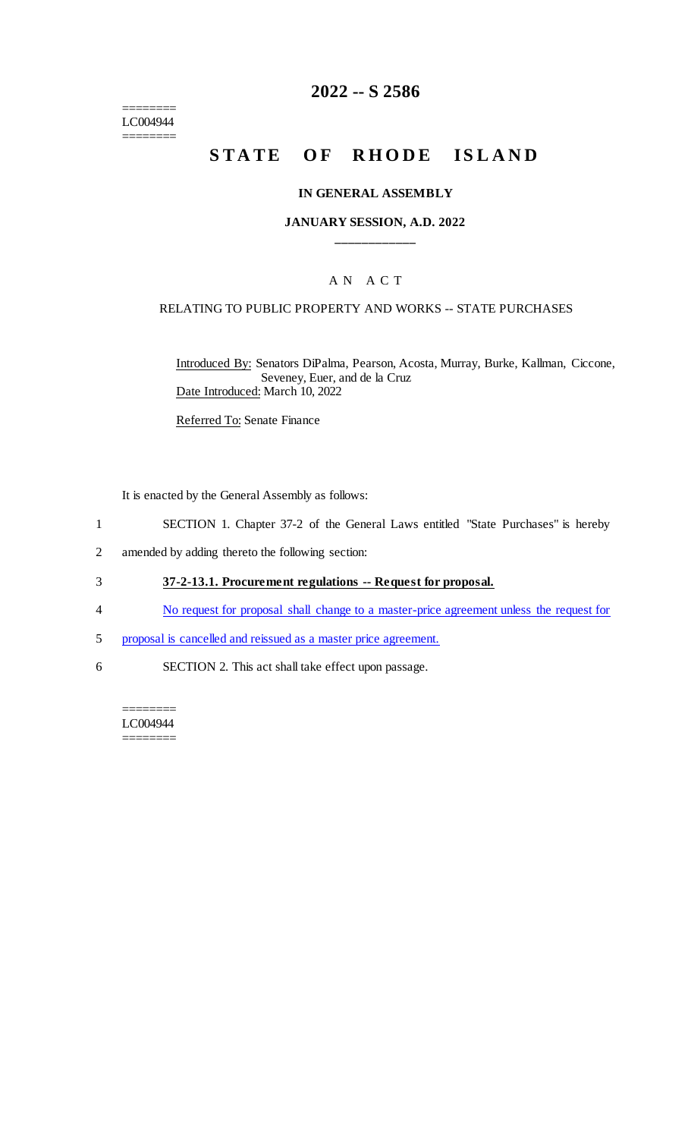======== LC004944 ========

# **2022 -- S 2586**

# **STATE OF RHODE ISLAND**

#### **IN GENERAL ASSEMBLY**

#### **JANUARY SESSION, A.D. 2022 \_\_\_\_\_\_\_\_\_\_\_\_**

#### A N A C T

#### RELATING TO PUBLIC PROPERTY AND WORKS -- STATE PURCHASES

Introduced By: Senators DiPalma, Pearson, Acosta, Murray, Burke, Kallman, Ciccone, Seveney, Euer, and de la Cruz Date Introduced: March 10, 2022

Referred To: Senate Finance

It is enacted by the General Assembly as follows:

- 1 SECTION 1. Chapter 37-2 of the General Laws entitled "State Purchases" is hereby
- 2 amended by adding thereto the following section:
- 3 **37-2-13.1. Procurement regulations -- Request for proposal.**
- 4 No request for proposal shall change to a master-price agreement unless the request for
- 5 proposal is cancelled and reissued as a master price agreement.
- 6 SECTION 2. This act shall take effect upon passage.

======== LC004944 ========